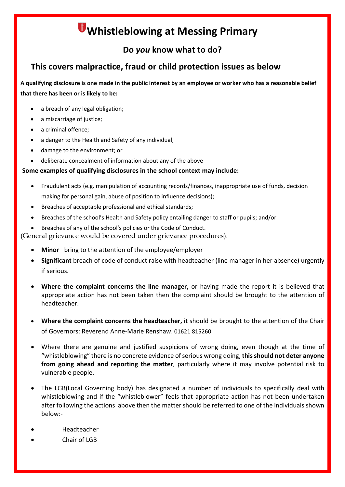# **Whistleblowing at Messing Primary**

## **Do** *you* **know what to do?**

## **This covers malpractice, fraud or child protection issues as below**

**A qualifying disclosure is one made in the public interest by an employee or worker who has a reasonable belief that there has been or is likely to be:**

- a breach of any legal obligation;
- a miscarriage of justice:
- a criminal offence:
- a danger to the Health and Safety of any individual;
- damage to the environment; or
- deliberate concealment of information about any of the above

#### **Some examples of qualifying disclosures in the school context may include:**

- Fraudulent acts (e.g. manipulation of accounting records/finances, inappropriate use of funds, decision making for personal gain, abuse of position to influence decisions);
- Breaches of acceptable professional and ethical standards;
- Breaches of the school's Health and Safety policy entailing danger to staff or pupils; and/or
- Breaches of any of the school's policies or the Code of Conduct.

(General grievance would be covered under grievance procedures).

- **Minor** –bring to the attention of the employee/employer
- **Significant** breach of code of conduct raise with headteacher (line manager in her absence) urgently if serious.
- **Where the complaint concerns the line manager,** or having made the report it is believed that appropriate action has not been taken then the complaint should be brought to the attention of headteacher.
- **Where the complaint concerns the headteacher,** it should be brought to the attention of the Chair of Governors: Reverend Anne-Marie Renshaw. 01621 815260
- Where there are genuine and justified suspicions of wrong doing, even though at the time of "whistleblowing" there is no concrete evidence of serious wrong doing, **this should not deter anyone from going ahead and reporting the matter**, particularly where it may involve potential risk to vulnerable people.
- The LGB(Local Governing body) has designated a number of individuals to specifically deal with whistleblowing and if the "whistleblower" feels that appropriate action has not been undertaken after following the actions above then the matter should be referred to one of the individuals shown below:-
- Headteacher
- Chair of LGB